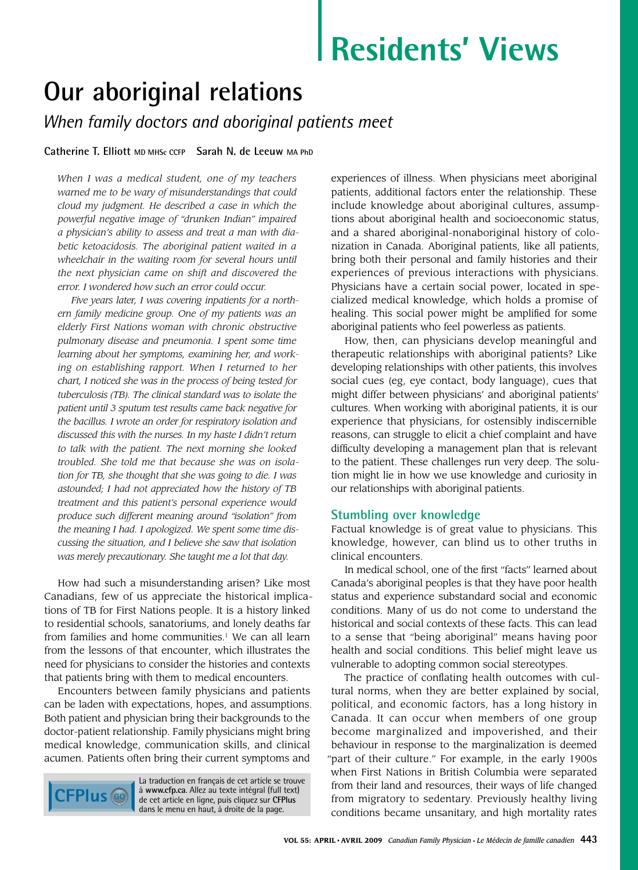# **Residents' Views**

# **Our aboriginal relations**

*When family doctors and aboriginal patients meet*

### **Catherine T. Elliott MD MHSc CCFP Sarah N. de Leeuw MA PhD**

*When I was a medical student, one of my teachers warned me to be wary of misunderstandings that could cloud my judgment. He described a case in which the powerful negative image of "drunken Indian" impaired a physician's ability to assess and treat a man with diabetic ketoacidosis. The aboriginal patient waited in a wheelchair in the waiting room for several hours until the next physician came on shift and discovered the error. I wondered how such an error could occur.*

*Five years later, I was covering inpatients for a northern family medicine group. One of my patients was an elderly First Nations woman with chronic obstructive pulmonary disease and pneumonia. I spent some time learning about her symptoms, examining her, and working on establishing rapport. When I returned to her chart, I noticed she was in the process of being tested for tuberculosis (TB). The clinical standard was to isolate the patient until 3 sputum test results came back negative for the bacillus. I wrote an order for respiratory isolation and discussed this with the nurses. In my haste I didn't return to talk with the patient. The next morning she looked troubled. She told me that because she was on isolation for TB, she thought that she was going to die. I was astounded; I had not appreciated how the history of TB treatment and this patient's personal experience would produce such different meaning around "isolation" from the meaning I had. I apologized. We spent some time discussing the situation, and I believe she saw that isolation was merely precautionary. She taught me a lot that day.*

How had such a misunderstanding arisen? Like most Canadians, few of us appreciate the historical implications of TB for First Nations people. It is a history linked to residential schools, sanatoriums, and lonely deaths far from families and home communities.<sup>1</sup> We can all learn from the lessons of that encounter, which illustrates the need for physicians to consider the histories and contexts that patients bring with them to medical encounters.

Encounters between family physicians and patients can be laden with expectations, hopes, and assumptions. Both patient and physician bring their backgrounds to the doctor-patient relationship. Family physicians might bring medical knowledge, communication skills, and clinical acumen. Patients often bring their current symptoms and



La traduction en français de cet article se trouve à **www.cfp.ca**. Allez au texte intégral (full text) de cet article en ligne, puis cliquez sur **CFPlus**  dans le menu en haut, à droite de la page.

experiences of illness. When physicians meet aboriginal patients, additional factors enter the relationship. These include knowledge about aboriginal cultures, assumptions about aboriginal health and socioeconomic status, and a shared aboriginal-nonaboriginal history of colonization in Canada. Aboriginal patients, like all patients, bring both their personal and family histories and their experiences of previous interactions with physicians. Physicians have a certain social power, located in specialized medical knowledge, which holds a promise of healing. This social power might be amplified for some aboriginal patients who feel powerless as patients.

How, then, can physicians develop meaningful and therapeutic relationships with aboriginal patients? Like developing relationships with other patients, this involves social cues (eg, eye contact, body language), cues that might differ between physicians' and aboriginal patients' cultures. When working with aboriginal patients, it is our experience that physicians, for ostensibly indiscernible reasons, can struggle to elicit a chief complaint and have difficulty developing a management plan that is relevant to the patient. These challenges run very deep. The solution might lie in how we use knowledge and curiosity in our relationships with aboriginal patients.

## **Stumbling over knowledge**

Factual knowledge is of great value to physicians. This knowledge, however, can blind us to other truths in clinical encounters.

In medical school, one of the first "facts" learned about Canada's aboriginal peoples is that they have poor health status and experience substandard social and economic conditions. Many of us do not come to understand the historical and social contexts of these facts. This can lead to a sense that "being aboriginal" means having poor health and social conditions. This belief might leave us vulnerable to adopting common social stereotypes.

The practice of conflating health outcomes with cultural norms, when they are better explained by social, political, and economic factors, has a long history in Canada. It can occur when members of one group become marginalized and impoverished, and their behaviour in response to the marginalization is deemed "part of their culture." For example, in the early 1900s when First Nations in British Columbia were separated from their land and resources, their ways of life changed from migratory to sedentary. Previously healthy living conditions became unsanitary, and high mortality rates

> The English translation of this article, is available at **www.cfp.ca**. Click on **CFPlus**